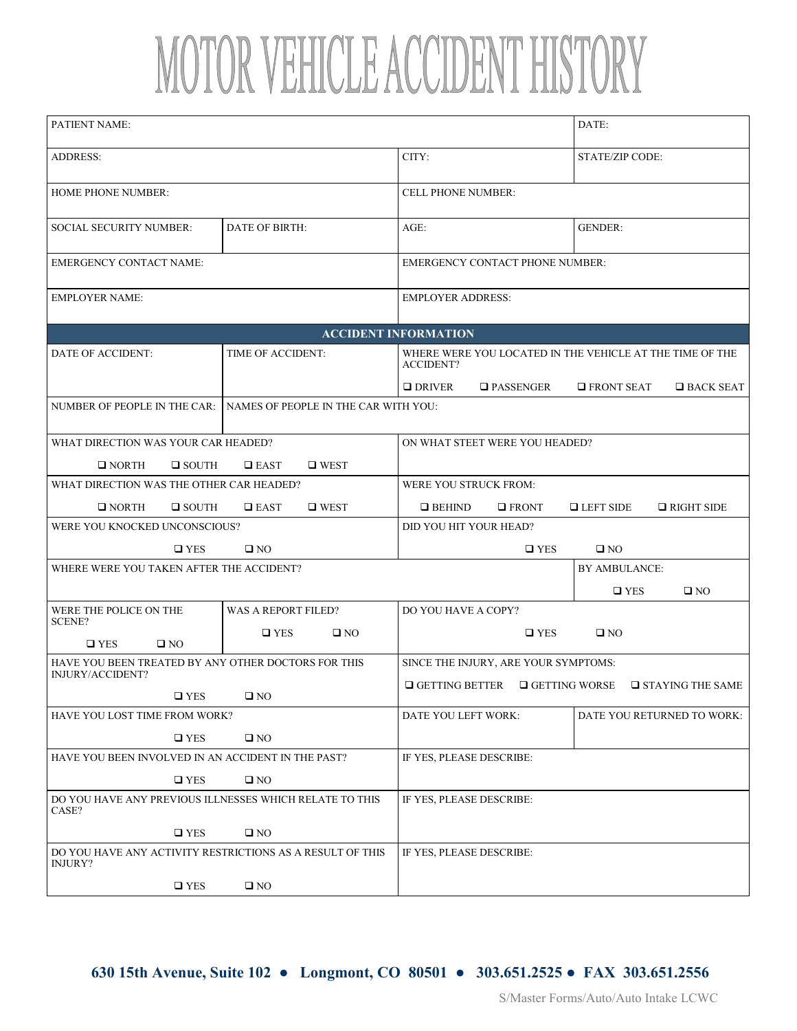## MOTOR VEHICLE ACCIDENT HISTORY

| PATIENT NAME:                                                           |                                                                                                          |                                        | DATE:                                              |
|-------------------------------------------------------------------------|----------------------------------------------------------------------------------------------------------|----------------------------------------|----------------------------------------------------|
| <b>ADDRESS:</b>                                                         |                                                                                                          | CITY:                                  | STATE/ZIP CODE:                                    |
| <b>HOME PHONE NUMBER:</b>                                               |                                                                                                          | <b>CELL PHONE NUMBER:</b>              |                                                    |
| <b>SOCIAL SECURITY NUMBER:</b>                                          | DATE OF BIRTH:                                                                                           | $AGE$ :                                | <b>GENDER:</b>                                     |
| <b>EMERGENCY CONTACT NAME:</b>                                          |                                                                                                          | <b>EMERGENCY CONTACT PHONE NUMBER:</b> |                                                    |
| <b>EMPLOYER NAME:</b>                                                   |                                                                                                          | <b>EMPLOYER ADDRESS:</b>               |                                                    |
| <b>ACCIDENT INFORMATION</b>                                             |                                                                                                          |                                        |                                                    |
| DATE OF ACCIDENT:                                                       | <b>TIME OF ACCIDENT:</b><br>WHERE WERE YOU LOCATED IN THE VEHICLE AT THE TIME OF THE<br><b>ACCIDENT?</b> |                                        |                                                    |
|                                                                         |                                                                                                          | $\Box$ DRIVER<br>$\square$ PASSENGER   | $\Box$ FRONT SEAT<br>$\square$ BACK SEAT           |
| NUMBER OF PEOPLE IN THE CAR:                                            | NAMES OF PEOPLE IN THE CAR WITH YOU:                                                                     |                                        |                                                    |
| WHAT DIRECTION WAS YOUR CAR HEADED?                                     |                                                                                                          | ON WHAT STEET WERE YOU HEADED?         |                                                    |
| $\Box$ NORTH<br>$\square$ SOUTH                                         | $\Box$ EAST<br>$\square$ WEST                                                                            |                                        |                                                    |
| WHAT DIRECTION WAS THE OTHER CAR HEADED?                                |                                                                                                          | WERE YOU STRUCK FROM:                  |                                                    |
| $\Box$ NORTH<br>$\Box$ SOUTH                                            | $\square$ WEST<br>$\Box$ EAST                                                                            | $\Box$ BEHIND<br>$\square$ FRONT       | $\Box$ LEFT SIDE<br>$\Box$ RIGHT SIDE              |
| WERE YOU KNOCKED UNCONSCIOUS?                                           |                                                                                                          | DID YOU HIT YOUR HEAD?                 |                                                    |
| $\square$ YES<br>$\square$ NO                                           |                                                                                                          | $\square$ YES<br>$\square$ NO          |                                                    |
| WHERE WERE YOU TAKEN AFTER THE ACCIDENT?                                |                                                                                                          |                                        | BY AMBULANCE:                                      |
|                                                                         |                                                                                                          |                                        | $\square$ YES<br>$\square$ NO                      |
| WERE THE POLICE ON THE                                                  | WAS A REPORT FILED?                                                                                      | DO YOU HAVE A COPY?                    |                                                    |
| SCENE?<br>$\square$ YES<br>$\square$ NO                                 | $\square$ YES<br>$\square$ NO                                                                            | $\square$ YES                          | $\square$ NO                                       |
| HAVE YOU BEEN TREATED BY ANY OTHER DOCTORS FOR THIS<br>INJURY/ACCIDENT? |                                                                                                          | SINCE THE INJURY, ARE YOUR SYMPTOMS:   |                                                    |
| $\square$ YES                                                           | $\square$ NO                                                                                             | $\Box$ GETTING BETTER                  | $\Box$ GETTING WORSE<br>$\square$ STAYING THE SAME |
| HAVE YOU LOST TIME FROM WORK?                                           |                                                                                                          | DATE YOU LEFT WORK:                    | DATE YOU RETURNED TO WORK:                         |
| $\square$ YES                                                           | $\square$ NO                                                                                             |                                        |                                                    |
| HAVE YOU BEEN INVOLVED IN AN ACCIDENT IN THE PAST?                      |                                                                                                          | IF YES, PLEASE DESCRIBE:               |                                                    |
| $\square$ YES                                                           | $\square$ NO                                                                                             |                                        |                                                    |
| DO YOU HAVE ANY PREVIOUS ILLNESSES WHICH RELATE TO THIS<br>CASE?        |                                                                                                          | IF YES, PLEASE DESCRIBE:               |                                                    |
| $\square$ YES                                                           | $\square$ NO                                                                                             |                                        |                                                    |
| DO YOU HAVE ANY ACTIVITY RESTRICTIONS AS A RESULT OF THIS<br>INJURY?    |                                                                                                          | IF YES, PLEASE DESCRIBE:               |                                                    |
| $\square$ YES                                                           | $\square$ NO                                                                                             |                                        |                                                    |